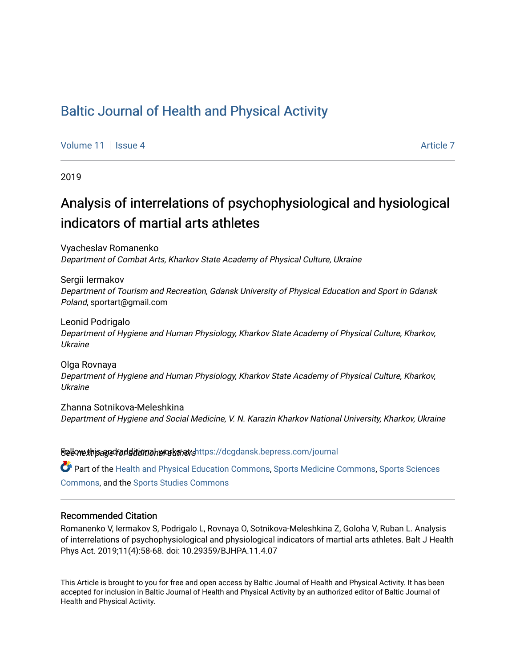# [Baltic Journal of Health and Physical Activity](https://dcgdansk.bepress.com/journal)

[Volume 11](https://dcgdansk.bepress.com/journal/vol11) | [Issue 4](https://dcgdansk.bepress.com/journal/vol11/iss4) [Article 7](https://dcgdansk.bepress.com/journal/vol11/iss4/7) Article 7 Article 7 Article 7 Article 7 Article 7 Article 7 Article 7 Article 7

2019

# Analysis of interrelations of psychophysiological and hysiological indicators of martial arts athletes

Vyacheslav Romanenko Department of Combat Arts, Kharkov State Academy of Physical Culture, Ukraine

Sergii Iermakov Department of Tourism and Recreation, Gdansk University of Physical Education and Sport in Gdansk Poland, sportart@gmail.com

Leonid Podrigalo Department of Hygiene and Human Physiology, Kharkov State Academy of Physical Culture, Kharkov, Ukraine

Olga Rovnaya Department of Hygiene and Human Physiology, Kharkov State Academy of Physical Culture, Kharkov, Ukraine

Zhanna Sotnikova-Meleshkina Department of Hygiene and Social Medicine, V. N. Karazin Kharkov National University, Kharkov, Ukraine

Sellow this ane diditional authors Follow this Follow this and additional sellow this and additional sellow that

Part of the [Health and Physical Education Commons](http://network.bepress.com/hgg/discipline/1327?utm_source=dcgdansk.bepress.com%2Fjournal%2Fvol11%2Fiss4%2F7&utm_medium=PDF&utm_campaign=PDFCoverPages), [Sports Medicine Commons,](http://network.bepress.com/hgg/discipline/1331?utm_source=dcgdansk.bepress.com%2Fjournal%2Fvol11%2Fiss4%2F7&utm_medium=PDF&utm_campaign=PDFCoverPages) [Sports Sciences](http://network.bepress.com/hgg/discipline/759?utm_source=dcgdansk.bepress.com%2Fjournal%2Fvol11%2Fiss4%2F7&utm_medium=PDF&utm_campaign=PDFCoverPages) [Commons](http://network.bepress.com/hgg/discipline/759?utm_source=dcgdansk.bepress.com%2Fjournal%2Fvol11%2Fiss4%2F7&utm_medium=PDF&utm_campaign=PDFCoverPages), and the [Sports Studies Commons](http://network.bepress.com/hgg/discipline/1198?utm_source=dcgdansk.bepress.com%2Fjournal%2Fvol11%2Fiss4%2F7&utm_medium=PDF&utm_campaign=PDFCoverPages) 

#### Recommended Citation

Romanenko V, Iermakov S, Podrigalo L, Rovnaya O, Sotnikova-Meleshkina Z, Goloha V, Ruban L. Analysis of interrelations of psychophysiological and physiological indicators of martial arts athletes. Balt J Health Phys Act. 2019;11(4):58-68. doi: 10.29359/BJHPA.11.4.07

This Article is brought to you for free and open access by Baltic Journal of Health and Physical Activity. It has been accepted for inclusion in Baltic Journal of Health and Physical Activity by an authorized editor of Baltic Journal of Health and Physical Activity.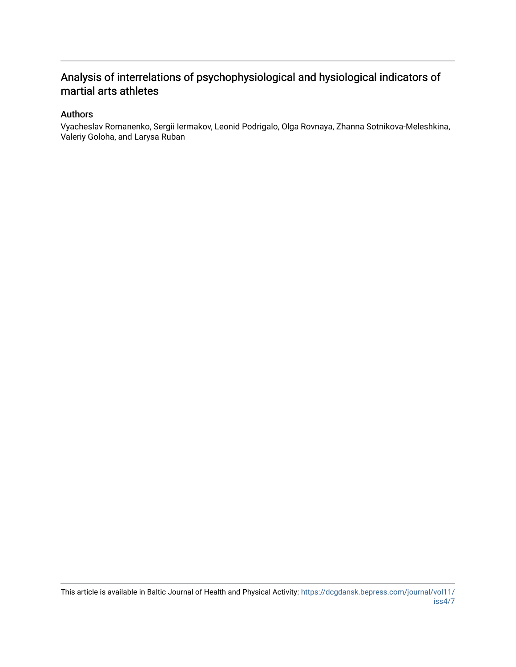## Analysis of interrelations of psychophysiological and hysiological indicators of martial arts athletes

#### Authors

Vyacheslav Romanenko, Sergii Iermakov, Leonid Podrigalo, Olga Rovnaya, Zhanna Sotnikova-Meleshkina, Valeriy Goloha, and Larysa Ruban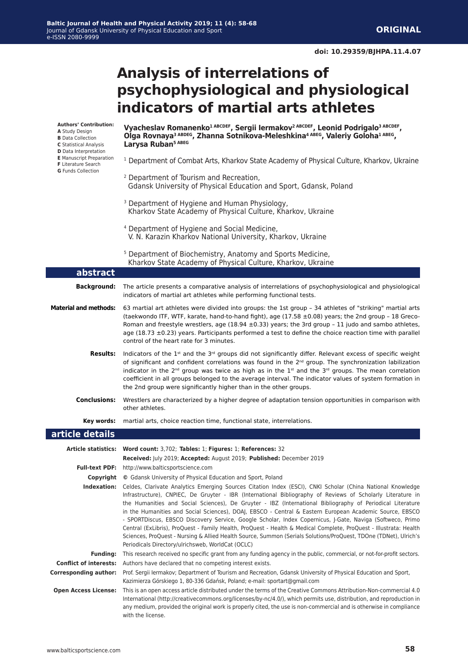# **Analysis of interrelations of psychophysiological and physiological indicators of martial arts athletes**

**Vyacheslav Romanenko1 ABCDEF, Sergii Iermakov2 ABCDEF, Leonid Podrigalo3 ABCDEF,**  Olga Rovnaya<sup>3 ABDEG</sup>, Zhanna Sotnikova-Meleshkina<sup>4 ABEG</sup>, Valeriy Goloha<sup>1 ABEG</sup>, **Larysa Ruban5 ABEG** <sup>1</sup> Department of Combat Arts, Kharkov State Academy of Physical Culture, Kharkov, Ukraine 2 Department of Tourism and Recreation, Gdansk University of Physical Education and Sport, Gdansk, Poland <sup>3</sup> Department of Hygiene and Human Physiology, Kharkov State Academy of Physical Culture, Kharkov, Ukraine 4 Department of Hygiene and Social Medicine, V. N. Karazin Kharkov National University, Kharkov, Ukraine 5 Department of Biochemistry, Anatomy and Sports Medicine, Kharkov State Academy of Physical Culture, Kharkov, Ukraine **article details Article statistics: Word count:** 3,702; **Tables:** 1; **Figures:** 1; **References:** 32 **Received:** July 2019; **Accepted:** August 2019; **Published:** December 2019 **Full-text PDF:** http://www.balticsportscience.com **Copyright ©** Gdansk University of Physical Education and Sport, Poland **Indexation:** Celdes, Clarivate Analytics Emerging Sources Citation Index (ESCI), CNKI Scholar (China National Knowledge Infrastructure), CNPIEC, De Gruyter - IBR (International Bibliography of Reviews of Scholarly Literature in the Humanities and Social Sciences), De Gruyter - IBZ (International Bibliography of Periodical Literature in the Humanities and Social Sciences), DOAJ, EBSCO - Central & Eastern European Academic Source, EBSCO - SPORTDiscus, EBSCO Discovery Service, Google Scholar, Index Copernicus, J-Gate, Naviga (Softweco, Primo Central (ExLibris), ProQuest - Family Health, ProQuest - Health & Medical Complete, ProQuest - Illustrata: Health Sciences, ProQuest - Nursing & Allied Health Source, Summon (Serials Solutions/ProQuest, TDOne (TDNet), Ulrich's Periodicals Directory/ulrichsweb, WorldCat (OCLC) **Funding:** This research received no specific grant from any funding agency in the public, commercial, or not-for-profit sectors. **Conflict of interests:** Authors have declared that no competing interest exists. **Corresponding author:** Prof. Sergii Iermakov; Department of Tourism and Recreation, Gdansk University of Physical Education and Sport, Kazimierza Górskiego 1, 80-336 Gdańsk, Poland; e-mail: sportart@gmail.com **Open Access License:** This is an open access article distributed under the terms of the Creative Commons Attribution-Non-commercial 4.0 International (http://creativecommons.org/licenses/by-nc/4.0/), which permits use, distribution, and reproduction in any medium, provided the original work is properly cited, the use is non-commercial and is otherwise in compliance **Authors' Contribution: A** Study Design **B** Data Collection **C** Statistical Analysis **D** Data Interpretation **E** Manuscript Preparation **F** Literature Search **G** Funds Collection **abstract Background:** The article presents a comparative analysis of interrelations of psychophysiological and physiological indicators of martial art athletes while performing functional tests. **Material and methods:** 63 martial art athletes were divided into groups: the 1st group – 34 athletes of "striking" martial arts (taekwondo ITF, WTF, karate, hand-to-hand fight), age (17.58 ±0.08) years; the 2nd group – 18 Greco-Roman and freestyle wrestlers, age  $(18.94 \pm 0.33)$  years; the 3rd group - 11 judo and sambo athletes, age (18.73 ±0.23) years. Participants performed a test to define the choice reaction time with parallel control of the heart rate for 3 minutes. Results: Indicators of the 1<sup>st</sup> and the 3<sup>rd</sup> groups did not significantly differ. Relevant excess of specific weight of significant and confident correlations was found in the 2<sup>nd</sup> group. The synchronization labilization indicator in the 2<sup>nd</sup> group was twice as high as in the 1<sup>st</sup> and the 3<sup>rd</sup> groups. The mean correlation coefficient in all groups belonged to the average interval. The indicator values of system formation in the 2nd group were significantly higher than in the other groups. **Conclusions:** Wrestlers are characterized by a higher degree of adaptation tension opportunities in comparison with other athletes. **Key words:** martial arts, choice reaction time, functional state, interrelations.

with the license.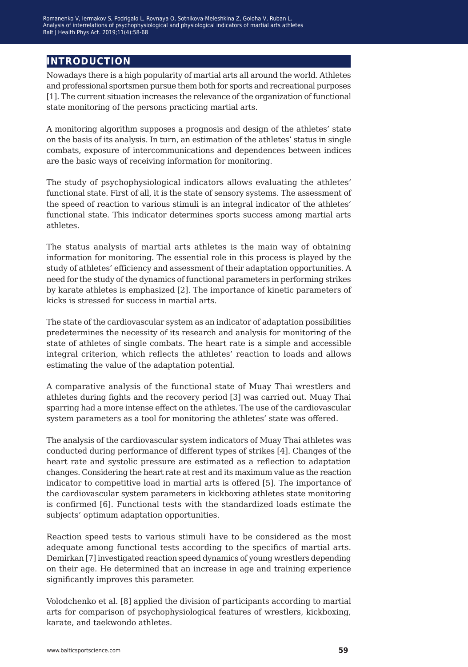## **introduction**

Nowadays there is a high popularity of martial arts all around the world. Athletes and professional sportsmen pursue them both for sports and recreational purposes [1]. The current situation increases the relevance of the organization of functional state monitoring of the persons practicing martial arts.

A monitoring algorithm supposes a prognosis and design of the athletes' state on the basis of its analysis. In turn, an estimation of the athletes' status in single combats, exposure of intercommunications and dependences between indices are the basic ways of receiving information for monitoring.

The study of psychophysiological indicators allows evaluating the athletes' functional state. First of all, it is the state of sensory systems. The assessment of the speed of reaction to various stimuli is an integral indicator of the athletes' functional state. This indicator determines sports success among martial arts athletes.

The status analysis of martial arts athletes is the main way of obtaining information for monitoring. The essential role in this process is played by the study of athletes' efficiency and assessment of their adaptation opportunities. A need for the study of the dynamics of functional parameters in performing strikes by karate athletes is emphasized [2]. The importance of kinetic parameters of kicks is stressed for success in martial arts.

The state of the cardiovascular system as an indicator of adaptation possibilities predetermines the necessity of its research and analysis for monitoring of the state of athletes of single combats. The heart rate is a simple and accessible integral criterion, which reflects the athletes' reaction to loads and allows estimating the value of the adaptation potential.

A comparative analysis of the functional state of Muay Thai wrestlers and athletes during fights and the recovery period [3] was carried out. Muay Thai sparring had a more intense effect on the athletes. The use of the cardiovascular system parameters as a tool for monitoring the athletes' state was offered.

The analysis of the cardiovascular system indicators of Muay Thai athletes was conducted during performance of different types of strikes [4]. Changes of the heart rate and systolic pressure are estimated as a reflection to adaptation changes. Considering the heart rate at rest and its maximum value as the reaction indicator to competitive load in martial arts is offered [5]. The importance of the cardiovascular system parameters in kickboxing athletes state monitoring is confirmed [6]. Functional tests with the standardized loads estimate the subjects' optimum adaptation opportunities.

Reaction speed tests to various stimuli have to be considered as the most adequate among functional tests according to the specifics of martial arts. Demirkan [7] investigated reaction speed dynamics of young wrestlers depending on their age. He determined that an increase in age and training experience significantly improves this parameter.

Volodchenko et al. [8] applied the division of participants according to martial arts for comparison of psychophysiological features of wrestlers, kickboxing, karate, and taekwondo athletes.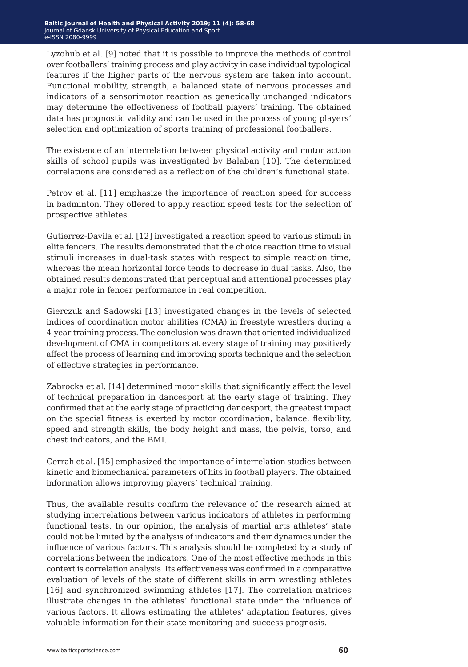Lyzohub et al. [9] noted that it is possible to improve the methods of control over footballers' training process and play activity in case individual typological features if the higher parts of the nervous system are taken into account. Functional mobility, strength, a balanced state of nervous processes and indicators of a sensorimotor reaction as genetically unchanged indicators may determine the effectiveness of football players' training. The obtained data has prognostic validity and can be used in the process of young players' selection and optimization of sports training of professional footballers.

The existence of an interrelation between physical activity and motor action skills of school pupils was investigated by Balaban [10]. The determined correlations are considered as a reflection of the children's functional state.

Petrov et al. [11] emphasize the importance of reaction speed for success in badminton. They offered to apply reaction speed tests for the selection of prospective athletes.

Gutierrez-Davila et al. [12] investigated a reaction speed to various stimuli in elite fencers. The results demonstrated that the choice reaction time to visual stimuli increases in dual-task states with respect to simple reaction time, whereas the mean horizontal force tends to decrease in dual tasks. Also, the obtained results demonstrated that perceptual and attentional processes play a major role in fencer performance in real competition.

Gierczuk and Sadowski [13] investigated changes in the levels of selected indices of coordination motor abilities (CMA) in freestyle wrestlers during a 4-year training process. The conclusion was drawn that oriented individualized development of CMA in competitors at every stage of training may positively affect the process of learning and improving sports technique and the selection of effective strategies in performance.

Zabrocka et al. [14] determined motor skills that significantly affect the level of technical preparation in dancesport at the early stage of training. They confirmed that аt the early stage of practicing dancesport, the greatest impact on the special fitness is exerted by motor coordination, balance, flexibility, speed and strength skills, the body height and mass, the pelvis, torso, and chest indicators, and the BMI.

Cerrah et al. [15] emphasized the importance of interrelation studies between kinetic and biomechanical parameters of hits in football players. The obtained information allows improving players' technical training.

Thus, the available results confirm the relevance of the research aimed at studying interrelations between various indicators of athletes in performing functional tests. In our opinion, the analysis of martial arts athletes' state could not be limited by the analysis of indicators and their dynamics under the influence of various factors. This analysis should be completed by a study of correlations between the indicators. One of the most effective methods in this context is correlation analysis. Its effectiveness was confirmed in a comparative evaluation of levels of the state of different skills in arm wrestling athletes [16] and synchronized swimming athletes [17]. The correlation matrices illustrate changes in the athletes' functional state under the influence of various factors. It allows estimating the athletes' adaptation features, gives valuable information for their state monitoring and success prognosis.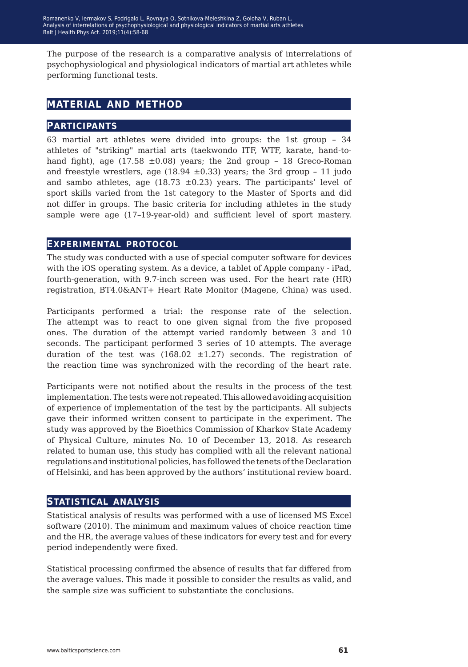The purpose of the research is a comparative analysis of interrelations of psychophysiological and physiological indicators of martial art athletes while performing functional tests.

## **material and method**

#### **participants**

63 martial art athletes were divided into groups: the 1st group – 34 athletes of "striking" martial arts (taekwondo ITF, WTF, karate, hand-tohand fight), age  $(17.58 \pm 0.08)$  years; the 2nd group - 18 Greco-Roman and freestyle wrestlers, age (18.94  $\pm$ 0.33) years; the 3rd group - 11 judo and sambo athletes, age (18.73  $\pm$ 0.23) years. The participants' level of sport skills varied from the 1st category to the Master of Sports and did not differ in groups. The basic criteria for including athletes in the study sample were age (17–19-year-old) and sufficient level of sport mastery.

#### **experimental protocol**

The study was conducted with a use of special computer software for devices with the iOS operating system. As a device, a tablet of Apple company - iPad, fourth-generation, with 9.7-inch screen was used. For the heart rate (HR) registration, BT4.0&ANT+ Heart Rate Monitor (Magene, China) was used.

Participants performed a trial: the response rate of the selection. The attempt was to react to one given signal from the five proposed ones. The duration of the attempt varied randomly between 3 and 10 seconds. The participant performed 3 series of 10 attempts. The average duration of the test was  $(168.02 \pm 1.27)$  seconds. The registration of the reaction time was synchronized with the recording of the heart rate.

Participants were not notified about the results in the process of the test implementation. The tests were not repeated. This allowed avoiding acquisition of experience of implementation of the test by the participants. All subjects gave their informed written consent to participate in the experiment. The study was approved by the Bioethics Commission of Kharkov State Academy of Physical Culture, minutes No. 10 of December 13, 2018. As research related to human use, this study has complied with all the relevant national regulations and institutional policies, has followed the tenets of the Declaration of Helsinki, and has been approved by the authors' institutional review board.

#### **statistical analysis**

Statistical analysis of results was performed with a use of licensed MS Excel software (2010). The minimum and maximum values of choice reaction time and the HR, the average values of these indicators for every test and for every period independently were fixed.

Statistical processing confirmed the absence of results that far differed from the average values. This made it possible to consider the results as valid, and the sample size was sufficient to substantiate the conclusions.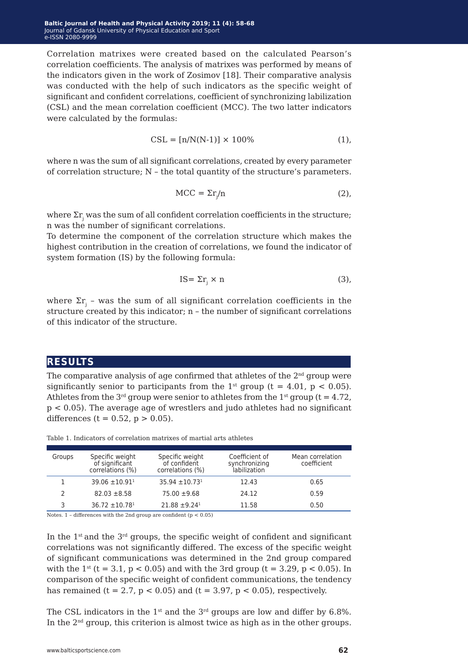Correlation matrixes were created based on the calculated Pearson's correlation coefficients. The analysis of matrixes was performed by means of the indicators given in the work of Zosimov [18]. Their comparative analysis was conducted with the help of such indicators as the specific weight of significant and confident correlations, coefficient of synchronizing labilization (CSL) and the mean correlation coefficient (MCC). The two latter indicators were calculated by the formulas:

$$
CSL = [n/N(N-1)] \times 100\% \tag{1}
$$

where n was the sum of all significant correlations, created by every parameter of correlation structure;  $N -$  the total quantity of the structure's parameters.

$$
MCC = \Sigma r_j / n \tag{2},
$$

where  $\Sigma \mathrm{r_{j}}$  was the sum of all confident correlation coefficients in the structure; n was the number of significant correlations.

To determine the component of the correlation structure which makes the highest contribution in the creation of correlations, we found the indicator of system formation (IS) by the following formula:

$$
IS = \Sigma r_j \times n \tag{3}
$$

where  $\Sigma \mathrm{r_{_{j}}}$  – was the sum of all significant correlation coefficients in the structure created by this indicator; n – the number of significant correlations of this indicator of the structure.

#### **results**

The comparative analysis of age confirmed that athletes of the  $2<sup>nd</sup>$  group were significantly senior to participants from the 1<sup>st</sup> group (t = 4.01, p < 0.05). Athletes from the  $3<sup>rd</sup>$  group were senior to athletes from the  $1<sup>st</sup>$  group (t = 4.72, p < 0.05). The average age of wrestlers and judo athletes had no significant differences (t =  $0.52$ , p >  $0.05$ ).

| Groups | Specific weight<br>of significant<br>correlations (%) | Specific weight<br>of confident<br>correlations (%) | Coefficient of<br>synchronizing<br>labilization | Mean correlation<br>coefficient |
|--------|-------------------------------------------------------|-----------------------------------------------------|-------------------------------------------------|---------------------------------|
|        | $39.06 \pm 10.91$ <sup>1</sup>                        | $35.94 \pm 10.73$ <sup>1</sup>                      | 12.43                                           | 0.65                            |
|        | $82.03 \pm 8.58$                                      | $75.00 \pm 9.68$                                    | 24.12                                           | 0.59                            |
|        | $36.72 \pm 10.78$ <sup>1</sup>                        | $21.88 \pm 9.24$ <sup>1</sup>                       | 11.58                                           | 0.50                            |

Table 1. Indicators of correlation matrixes of martial arts athletes

Notes.  $1$  – differences with the 2nd group are confident (p  $< 0.05)$ 

In the  $1<sup>st</sup>$  and the  $3<sup>rd</sup>$  groups, the specific weight of confident and significant correlations was not significantly differed. The excess of the specific weight of significant communications was determined in the 2nd group compared with the  $1^{st}$  (t = 3.1, p < 0.05) and with the 3rd group (t = 3.29, p < 0.05). In comparison of the specific weight of confident communications, the tendency has remained (t = 2.7,  $p < 0.05$ ) and (t = 3.97,  $p < 0.05$ ), respectively.

The CSL indicators in the  $1<sup>st</sup>$  and the  $3<sup>rd</sup>$  groups are low and differ by 6.8%. In the  $2<sup>nd</sup>$  group, this criterion is almost twice as high as in the other groups.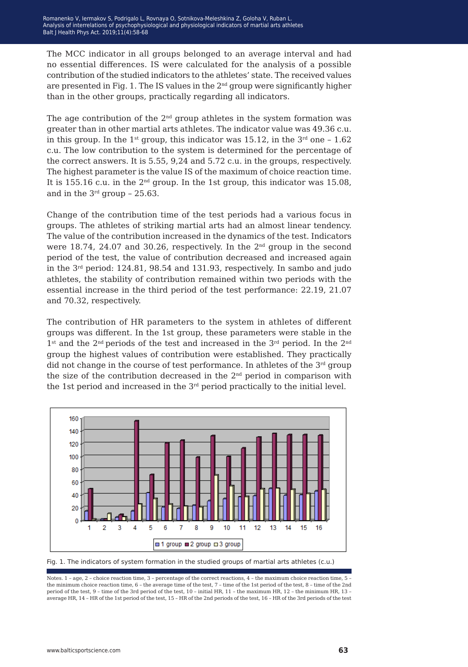The MCC indicator in all groups belonged to an average interval and had no essential differences. IS were calculated for the analysis of a possible contribution of the studied indicators to the athletes' state. The received values are presented in Fig. 1. The IS values in the  $2<sup>nd</sup>$  group were significantly higher than in the other groups, practically regarding all indicators.

The age contribution of the  $2<sup>nd</sup>$  group athletes in the system formation was greater than in other martial arts athletes. The indicator value was 49.36 c.u. in this group. In the 1<sup>st</sup> group, this indicator was 15.12, in the  $3<sup>rd</sup>$  one – 1.62 c.u. The low contribution to the system is determined for the percentage of the correct answers. It is 5.55, 9,24 and 5.72 c.u. in the groups, respectively. The highest parameter is the value IS of the maximum of choice reaction time. It is 155.16 c.u. in the  $2<sup>nd</sup>$  group. In the 1st group, this indicator was 15.08, and in the  $3<sup>rd</sup>$  group - 25.63.

Change of the contribution time of the test periods had a various focus in groups. The athletes of striking martial arts had an almost linear tendency. The value of the contribution increased in the dynamics of the test. Indicators were 18.74, 24.07 and 30.26, respectively. In the 2nd group in the second period of the test, the value of contribution decreased and increased again in the  $3<sup>rd</sup>$  period: 124.81, 98.54 and 131.93, respectively. In sambo and judo athletes, the stability of contribution remained within two periods with the essential increase in the third period of the test performance: 22.19, 21.07 and 70.32, respectively.

The contribution of HR parameters to the system in athletes of different groups was different. In the 1st group, these parameters were stable in the 1<sup>st</sup> and the 2<sup>nd</sup> periods of the test and increased in the 3<sup>rd</sup> period. In the 2<sup>nd</sup> group the highest values of contribution were established. They practically did not change in the course of test performance. In athletes of the  $3<sup>rd</sup>$  group the size of the contribution decreased in the  $2<sup>nd</sup>$  period in comparison with the 1st period and increased in the  $3<sup>rd</sup>$  period practically to the initial level.



Fig. 1. The indicators of system formation in the studied groups of martial arts athletes (c.u.)

Notes. 1 – age, 2 – choice reaction time, 3 – percentage of the correct reactions, 4 – the maximum choice reaction time, 5 the minimum choice reaction time, 6 – the average time of the test, 7 – time of the 1st period of the test, 8 – time of the 2nd period of the test, 9 – time of the 3rd period of the test, 10 – initial HR, 11 – the maximum HR, 12 – the minimum HR, 13 – average HR, 14 – HR of the 1st period of the test, 15 – HR of the 2nd periods of the test, 16 – HR of the 3rd periods of the test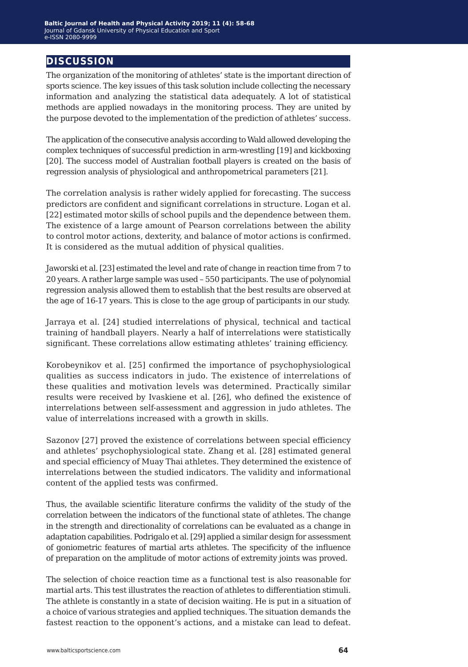## **discussion**

The organization of the monitoring of athletes' state is the important direction of sports science. The key issues of this task solution include collecting the necessary information and analyzing the statistical data adequately. A lot of statistical methods are applied nowadays in the monitoring process. They are united by the purpose devoted to the implementation of the prediction of athletes' success.

The application of the consecutive analysis according to Wald allowed developing the complex techniques of successful prediction in arm-wrestling [19] and kickboxing [20]. The success model of Australian football players is created on the basis of regression analysis of physiological and anthropometrical parameters [21].

The correlation analysis is rather widely applied for forecasting. The success predictors are confident and significant correlations in structure. Logan et al. [22] estimated motor skills of school pupils and the dependence between them. The existence of a large amount of Pearson correlations between the ability to control motor actions, dexterity, and balance of motor actions is confirmed. It is considered as the mutual addition of physical qualities.

Jaworski et al. [23] estimated the level and rate of change in reaction time from 7 to 20 years. A rather large sample was used – 550 participants. The use of polynomial regression analysis allowed them to establish that the best results are observed at the age of 16-17 years. This is close to the age group of participants in our study.

Jarraya et al. [24] studied interrelations of physical, technical and tactical training of handball players. Nearly a half of interrelations were statistically significant. These correlations allow estimating athletes' training efficiency.

Korobeynikov et al. [25] confirmed the importance of psychophysiological qualities as success indicators in judo. The existence of interrelations of these qualities and motivation levels was determined. Practically similar results were received by Ivaskiene et al. [26], who defined the existence of interrelations between self-assessment and aggression in judo athletes. The value of interrelations increased with a growth in skills.

Sazonov [27] proved the existence of correlations between special efficiency and athletes' psychophysiological state. Zhang et al. [28] estimated general and special efficiency of Muay Thai athletes. They determined the existence of interrelations between the studied indicators. The validity and informational content of the applied tests was confirmed.

Thus, the available scientific literature confirms the validity of the study of the correlation between the indicators of the functional state of athletes. The change in the strength and directionality of correlations can be evaluated as a change in adaptation capabilities. Podrigalo et al. [29] applied a similar design for assessment of goniometric features of martial arts athletes. The specificity of the influence of preparation on the amplitude of motor actions of extremity joints was proved.

The selection of choice reaction time as a functional test is also reasonable for martial arts. This test illustrates the reaction of athletes to differentiation stimuli. The athlete is constantly in a state of decision waiting. He is put in a situation of a choice of various strategies and applied techniques. The situation demands the fastest reaction to the opponent's actions, and a mistake can lead to defeat.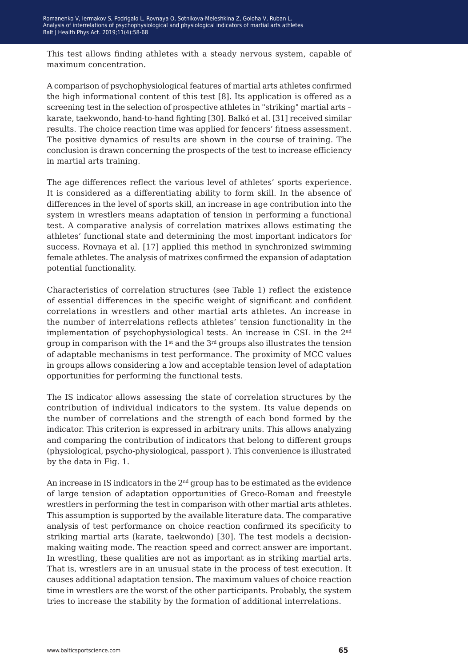This test allows finding athletes with a steady nervous system, capable of maximum concentration.

A comparison of psychophysiological features of martial arts athletes confirmed the high informational content of this test [8]. Its application is offered as a screening test in the selection of prospective athletes in "striking" martial arts – karate, taekwondo, hand-to-hand fighting [30]. Balkó et al. [31] received similar results. The choice reaction time was applied for fencers' fitness assessment. The positive dynamics of results are shown in the course of training. The conclusion is drawn concerning the prospects of the test to increase efficiency in martial arts training.

The age differences reflect the various level of athletes' sports experience. It is considered as a differentiating ability to form skill. In the absence of differences in the level of sports skill, an increase in age contribution into the system in wrestlers means adaptation of tension in performing a functional test. A comparative analysis of correlation matrixes allows estimating the athletes' functional state and determining the most important indicators for success. Rovnaya et al. [17] applied this method in synchronized swimming female athletes. The analysis of matrixes confirmed the expansion of adaptation potential functionality.

Characteristics of correlation structures (see Table 1) reflect the existence of essential differences in the specific weight of significant and confident correlations in wrestlers and other martial arts athletes. An increase in the number of interrelations reflects athletes' tension functionality in the implementation of psychophysiological tests. An increase in CSL in the 2nd group in comparison with the  $1<sup>st</sup>$  and the  $3<sup>rd</sup>$  groups also illustrates the tension of adaptable mechanisms in test performance. The proximity of MCC values in groups allows considering a low and acceptable tension level of adaptation opportunities for performing the functional tests.

The IS indicator allows assessing the state of correlation structures by the contribution of individual indicators to the system. Its value depends on the number of correlations and the strength of each bond formed by the indicator. This criterion is expressed in arbitrary units. This allows analyzing and comparing the contribution of indicators that belong to different groups (physiological, psycho-physiological, passport ). This convenience is illustrated by the data in Fig. 1.

An increase in IS indicators in the 2<sup>nd</sup> group has to be estimated as the evidence of large tension of adaptation opportunities of Greco-Roman and freestyle wrestlers in performing the test in comparison with other martial arts athletes. This assumption is supported by the available literature data. The comparative analysis of test performance on choice reaction confirmed its specificity to striking martial arts (karate, taekwondo) [30]. The test models a decisionmaking waiting mode. The reaction speed and correct answer are important. In wrestling, these qualities are not as important as in striking martial arts. That is, wrestlers are in an unusual state in the process of test execution. It causes additional adaptation tension. The maximum values of choice reaction time in wrestlers are the worst of the other participants. Probably, the system tries to increase the stability by the formation of additional interrelations.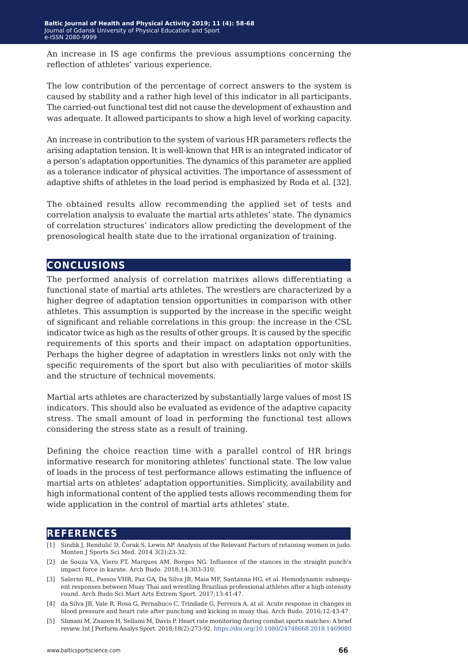An increase in IS age confirms the previous assumptions concerning the reflection of athletes' various experience.

The low contribution of the percentage of correct answers to the system is caused by stability and a rather high level of this indicator in all participants. The carried-out functional test did not cause the development of exhaustion and was adequate. It allowed participants to show a high level of working capacity.

An increase in contribution to the system of various HR parameters reflects the arising adaptation tension. It is well-known that HR is an integrated indicator of a person's adaptation opportunities. The dynamics of this parameter are applied as a tolerance indicator of physical activities. The importance of assessment of adaptive shifts of athletes in the load period is emphasized by Roda et al. [32].

The obtained results allow recommending the applied set of tests and correlation analysis to evaluate the martial arts athletes' state. The dynamics of correlation structures' indicators allow predicting the development of the prenosological health state due to the irrational organization of training.

#### **conclusions**

The performed analysis of correlation matrixes allows differentiating a functional state of martial arts athletes. The wrestlers are characterized by a higher degree of adaptation tension opportunities in comparison with other athletes. This assumption is supported by the increase in the specific weight of significant and reliable correlations in this group: the increase in the CSL indicator twice as high as the results of other groups. It is caused by the specific requirements of this sports and their impact on adaptation opportunities. Perhaps the higher degree of adaptation in wrestlers links not only with the specific requirements of the sport but also with peculiarities of motor skills and the structure of technical movements.

Martial arts athletes are characterized by substantially large values of most IS indicators. This should also be evaluated as evidence of the adaptive capacity stress. The small amount of load in performing the functional test allows considering the stress state as a result of training.

Defining the choice reaction time with a parallel control of HR brings informative research for monitoring athletes' functional state. The low value of loads in the process of test performance allows estimating the influence of martial arts on athletes' adaptation opportunities. Simplicity, availability and high informational content of the applied tests allows recommending them for wide application in the control of martial arts athletes' state.

#### **references**

- [1] Sindik J, Rendulić D, Čorak S, Lewis AP. Analysis of the Relevant Factors of retaining women in judo. Monten J Sports Sci Med. 2014 3(2):23-32.
- [2] de Souza VA, Viero FT, Marques AM, Borges NG. Influence of the stances in the straight punch's impact force in karate. Arch Budo. 2018;14:303-310.
- [3] Salerno RL, Passos VHR, Paz GA, Da Silva JB, Maia MF, Santanna HG, et al. Hemodynamic subsequent responses between Muay Thai and wrestling Brazilian professional athletes after a high-intensity round. Arch Budo Sci Mart Arts Extrem Sport. 2017;13:41-47.
- [4] da Silva JB, Vale R, Rosa G, Pernabuco C, Trindade G, Ferreira A, at al. Acute response in changes in blood pressure and heart rate after punching and kicking in muay thai. Arch Budo. 2016;12:43-47.
- [5] Slimani M, Znazen H, Sellami M, Davis P. Heart rate monitoring during combat sports matches: A brief review. Int J Perform Analys Sport. 2018;18(2):273-92.<https://doi.org/10.1080/24748668.2018.1469080>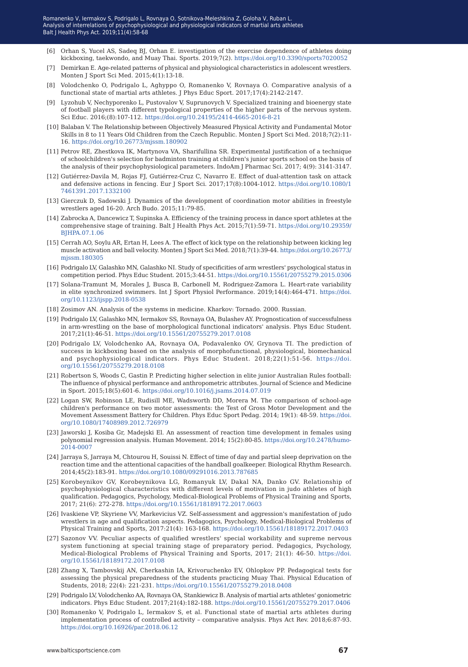- [6] Orhan S, Yucel AS, Sadeq BJ, Orhan E. investigation of the exercise dependence of athletes doing kickboxing, taekwondo, and Muay Thai. Sports. 2019;7(2). https://doi.org/10.3390/sports7020052
- [7] Demirkan E. Age-related patterns of physical and physiological characteristics in adolescent wrestlers. Monten J Sport Sci Med. 2015;4(1):13-18.
- [8] Volodchenko O, Podrigalo L, Aghyppo O, Romanenko V, Rovnaya O. Comparative analysis of a functional state of martial arts athletes. J Phys Educ Sport. 2017;17(4):2142-2147.
- [9] Lyzohub V, Nechyporenko L, Pustovalov V, Suprunovych V. Specialized training and bioenergy state of football players with different typological properties of the higher parts of the nervous system. Sci Educ. 2016;(8):107-112[. https://doi.org/10.24195/2414-4665-2016-8-21]( https://doi.org/10.24195/2414-4665-2016-8-21)
- [10] Balaban V. The Relationship between Objectively Measured Physical Activity and Fundamental Motor Skills in 8 to 11 Years Old Children from the Czech Republic. Monten J Sport Sci Med. 2018;7(2):11- 16.<https://doi.org/10.26773/mjssm.180902>
- [11] Petrov RE, Zhestkova IK, Martynova VA, Sharifullina SR. Experimental justification of a technique of schoolchildren's selection for badminton training at children's junior sports school on the basis of the analysis of their psychophysiological parameters. IndoAm J Pharmac Sci. 2017; 4(9): 3141-3147.
- [12] Gutiérrez-Davila M, Rojas FJ, Gutiérrez-Cruz C, Navarro E. Effect of dual-attention task on attack and defensive actions in fencing. Eur J Sport Sci. 2017;17(8):1004-1012. [https://doi.org/10.1080/1](https://doi.org/10.1080/17461391.2017.1332100
) [7461391.2017.1332100](https://doi.org/10.1080/17461391.2017.1332100
)
- [13] Gierczuk D, Sadowski J. Dynamics of the development of coordination motor abilities in freestyle wrestlers aged 16-20. Arch Вudo. 2015;11:79-85.
- [14] Zabrocka A, Dancewicz T, Supinska A. Efficiency of the training process in dance sport athletes at the comprehensive stage of training. Balt J Health Phys Act. 2015;7(1):59-71. [https://doi.org/10.29359/](https://doi.org/10.29359/BJHPA.07.1.06
) [BJHPA.07.1.06](https://doi.org/10.29359/BJHPA.07.1.06
)
- [15] Cerrah AO, Soylu AR, Ertan H, Lees A. The effect of kick type on the relationship between kicking leg muscle activation and ball velocity. Monten J Sport Sci Med. 2018;7(1):39-44. [https://doi.org/10.26773/](https://doi.org/10.26773/mjssm.180305) [mjssm.180305](https://doi.org/10.26773/mjssm.180305)
- [16] Podrigalo LV, Galashko MN, Galashko NI. Study of specificities of arm wrestlers' psychological status in competition period. Phys Educ Student. 2015;3:44-51. [https://doi.org/10.15561/20755279.2015.0306](https://doi.org/10.15561/20755279.2015.0306
)
- [17] Solana-Tramunt M, Morales J, Busca B, Carbonell M, Rodriguez-Zamora L. Heart-rate variability in elite synchronized swimmers. Int J Sport Physiol Performance. 2019;14(4):464-471. [https://doi.](https://doi.org/10.1123/ijspp.2018-0538
) [org/10.1123/ijspp.2018-0538](https://doi.org/10.1123/ijspp.2018-0538
)
- [18] Zosimov AN. Analysis of the systems in medicine. Kharkov: Tornado. 2000. Russian.
- [19] Podrigalo LV, Galashko MN, Iermakov SS, Rovnaya OA, Bulashev AY. Prognostication of successfulness in arm-wrestling on the base of morphological functional indicators' analysis. Phys Educ Student. 2017;21(1):46-51. <https://doi.org/10.15561/20755279.2017.0108>
- [20] Podrigalo LV, Volodchenko AA, Rovnaya OA, Podavalenko OV, Grynova TI. The prediction of success in kickboxing based on the analysis of morphofunctional, physiological, biomechanical and psychophysiological indicators. Phys Educ Student. 2018;22(1):51-56. [https://doi.](https://doi.org/10.15561/20755279.2018.0108
) [org/10.15561/20755279.2018.0108](https://doi.org/10.15561/20755279.2018.0108
)
- [21] Robertson S, Woods C, Gastin P. Predicting higher selection in elite junior Australian Rules football: The influence of physical performance and anthropometric attributes. Journal of Science and Medicine in Sport. 2015;18(5):601-6. <https://doi.org/10.1016/j.jsams.2014.07.019>
- [22] Logan SW, Robinson LE, Rudisill ME, Wadsworth DD, Morera M. The comparison of school-age children's performance on two motor assessments: the Test of Gross Motor Development and the Movement Assessment Battery for Children. Phys Educ Sport Pedag. 2014; 19(1): 48-59. [https://doi.](https://doi.org/10.1080/17408989.2012.726979
) [org/10.1080/17408989.2012.726979](https://doi.org/10.1080/17408989.2012.726979
)
- [23] Jaworski J, Kosiba Gr, Madejski El. An assessment of reaction time development in females using polynomial regression analysis. Human Movement. 2014; 15(2):80-85. [https://doi.org/10.2478/humo-](https://doi.org/10.2478/humo-2014-0007)[2014-0007](https://doi.org/10.2478/humo-2014-0007)
- [24] Jarraya S, Jarraya M, Chtourou H, Souissi N. Effect of time of day and partial sleep deprivation on the reaction time and the attentional capacities of the handball goalkeeper. Biological Rhythm Research. 2014;45(2):183-91.<https://doi.org/10.1080/09291016.2013.787685>
- [25] Korobeynikov GV, Korobeynikova LG, Romanyuk LV, Dakal NA, Danko GV. Relationship of psychophysiological characteristics with different levels of motivation in judo athletes of high qualification. Pedagogics, Psychology, Medical-Biological Problems of Physical Training and Sports, 2017; 21(6): 272-278.<https://doi.org/10.15561/18189172.2017.0603>
- [26] Ivaskiene VP, Skyriene VV, Markevicius VZ. Self-assessment and aggression's manifestation of judo wrestlers in age and qualification aspects. Pedagogics, Psychology, Medical-Biological Problems of Physical Training and Sports, 2017:21(4): 163-168. <https://doi.org/10.15561/18189172.2017.0403>
- [27] Sazonov VV. Peculiar aspects of qualified wrestlers' special workability and supreme nervous system functioning at special training stage of preparatory period. Pedagogics, Psychology, Medical-Biological Problems of Physical Training and Sports, 2017; 21(1): 46-50. [https://doi.](https://doi.org/10.15561/18189172.2017.0108) [org/10.15561/18189172.2017.0108](https://doi.org/10.15561/18189172.2017.0108)
- [28] Zhang X, Tambovskij AN, Cherkashin IA, Krivoruchenko EV, Ohlopkov PP. Pedagogical tests for assessing the physical preparedness of the students practicing Muay Thai. Physical Education of Students, 2018; 22(4): 221-231.<https://doi.org/10.15561/20755279.2018.0408>
- [29] Podrigalo LV, Volodchenko AA, Rovnaya OA, Stankiewicz B. Analysis of martial arts athletes' goniometric indicators. Phys Educ Student. 2017;21(4):182-188.<https://doi.org/10.15561/20755279.2017.0406>
- [30] Romanenko V, Podrigalo L, Iermakov S, et al. Functional state of martial arts athletes during implementation process of controlled activity – comparative analysis. Phys Act Rev. 2018;6:87-93. <https://doi.org/10.16926/par.2018.06.12>